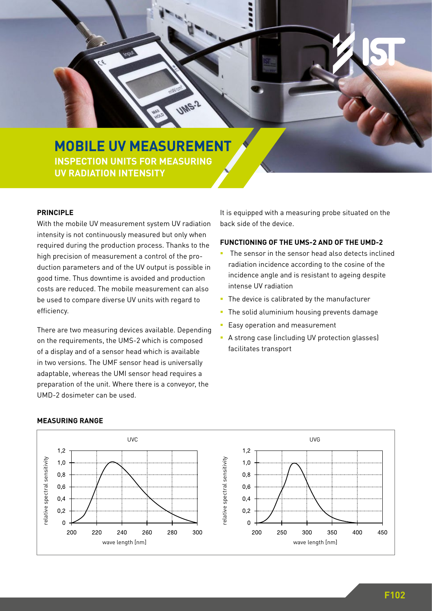# **MOBILE UV MEASUREMENT INSPECTION UNITS FOR MEASURING ZWEIZEILIG UV RADIATION INTENSITY**

 $\overline{\cdot}$ 

#### **PRINCIPLE**

With the mobile UV measurement system UV radiation intensity is not continuously measured but only when required during the production process. Thanks to the high precision of measurement a control of the production parameters and of the UV output is possible in good time. Thus downtime is avoided and production costs are reduced. The mobile measurement can also be used to compare diverse UV units with regard to efficiency.

There are two measuring devices available. Depending on the requirements, the UMS-2 which is composed of a display and of a sensor head which is available in two versions. The UMF sensor head is universally adaptable, whereas the UMI sensor head requires a preparation of the unit. Where there is a conveyor, the UMD-2 dosimeter can be used.

It is equipped with a measuring probe situated on the back side of the device.

### **FUNCTIONING OF THE UMS-2 AND OF THE UMD-2**

- The sensor in the sensor head also detects inclined radiation incidence according to the cosine of the incidence angle and is resistant to ageing despite intense UV radiation
- The device is calibrated by the manufacturer
- **The solid aluminium housing prevents damage**
- Easy operation and measurement
- A strong case (including UV protection glasses) facilitates transport



#### **MEASURING RANGE**